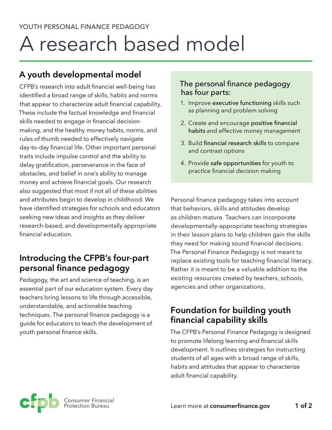# A research based model

## **A youth developmental model**

CFPB's research into adult financial well-being has identified a broad range of skills, habits and norms that appear to characterize adult financial capability. These include the factual knowledge and financial skills needed to engage in financial decisionmaking, and the healthy money habits, norms, and rules of thumb needed to effectively navigate day-to-day financial life. Other important personal traits include impulse control and the ability to delay gratification, perseverance in the face of obstacles, and belief in one's ability to manage money and achieve financial goals. Our research also suggested that most if not all of these abilities and attributes begin to develop in childhood. We have identified strategies for schools and educators seeking new ideas and insights as they deliver research-based, and developmentally appropriate financial education.

## **Introducing the CFPB's four-part personal finance pedagogy**

Pedagogy, the art and science of teaching, is an essential part of our education system. Every day teachers bring lessons to life through accessible, understandable, and actionable teaching techniques. The personal finance pedagogy is a guide for educators to teach the development of youth personal finance skills.

#### The personal finance pedagogy has four parts:

- 1. Improve executive functioning skills such as planning and problem solving
- 2. Create and encourage positive financial habits and effective money management
- 3. Build financial research skills to compare and contrast options
- 4. Provide safe opportunities for youth to practice financial decision making

Personal finance pedagogy takes into account that behaviors, skills and attitudes develop as children mature. Teachers can incorporate developmentally-appropriate teaching strategies in their lesson plans to help children gain the skills they need for making sound financial decisions. The Personal Finance Pedagogy is not meant to replace existing tools for teaching financial literacy. Rather it is meant to be a valuable addition to the existing resources created by teachers, schools, agencies and other organizations.

### **Foundation for building youth financial capability skills**

The CFPB's Personal Finance Pedagogy is designed to promote lifelong learning and financial skills development. It outlines strategies for instructing students of all ages with a broad range of skills, habits and attitudes that appear to characterize adult financial capability.